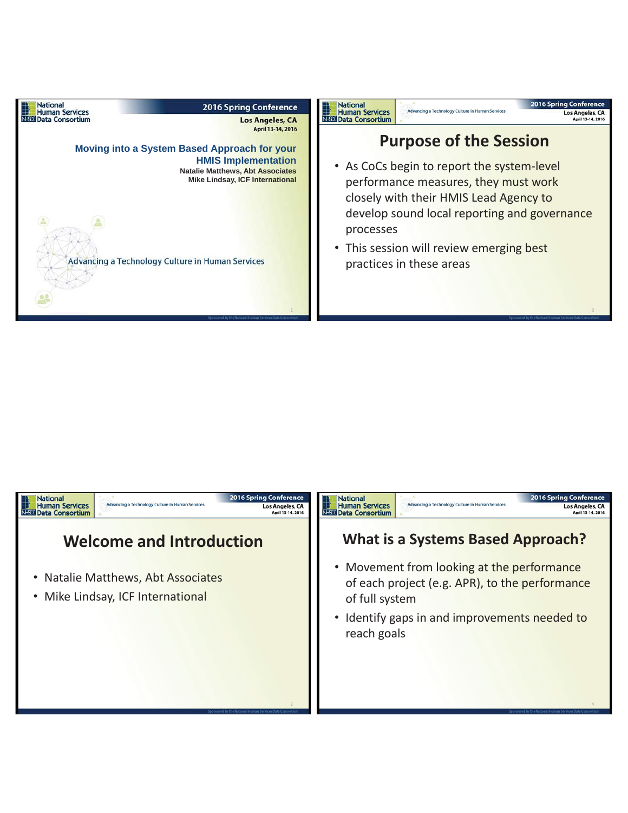

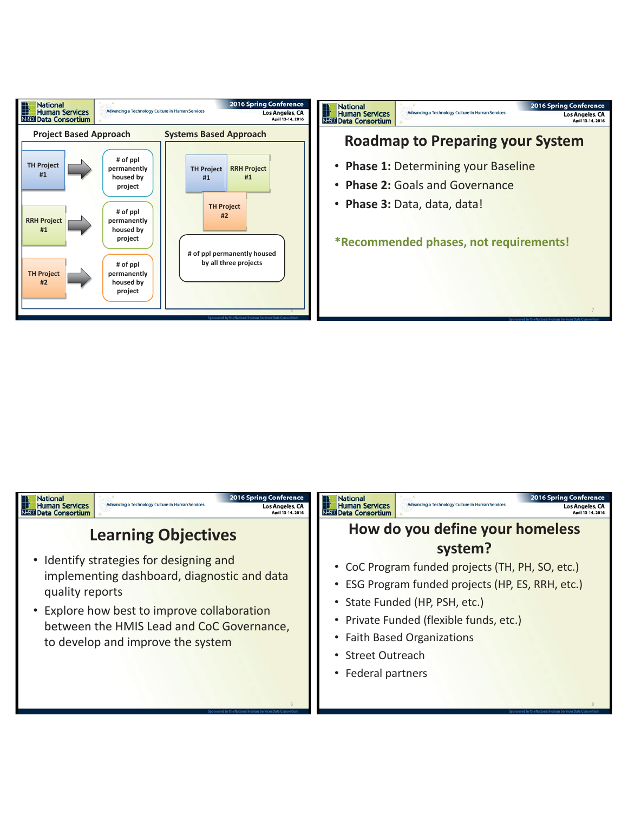

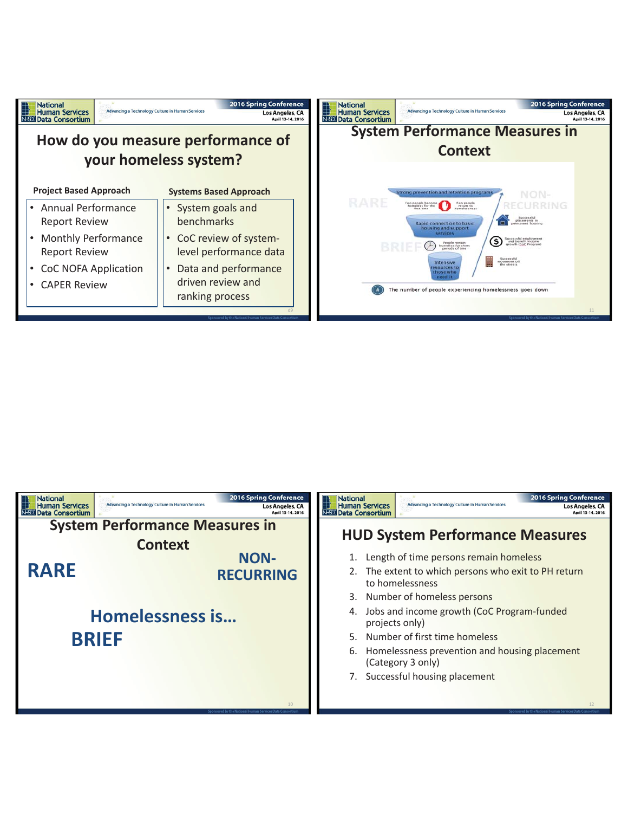

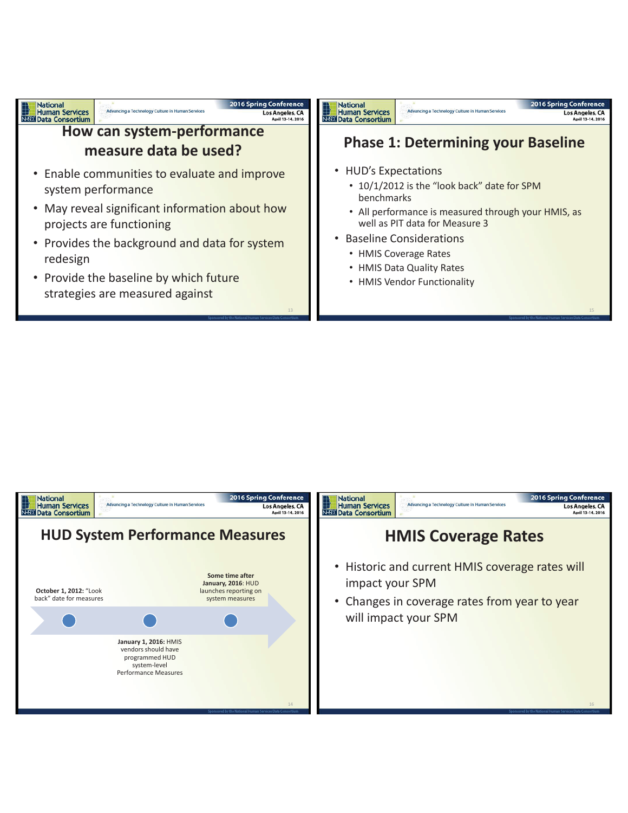

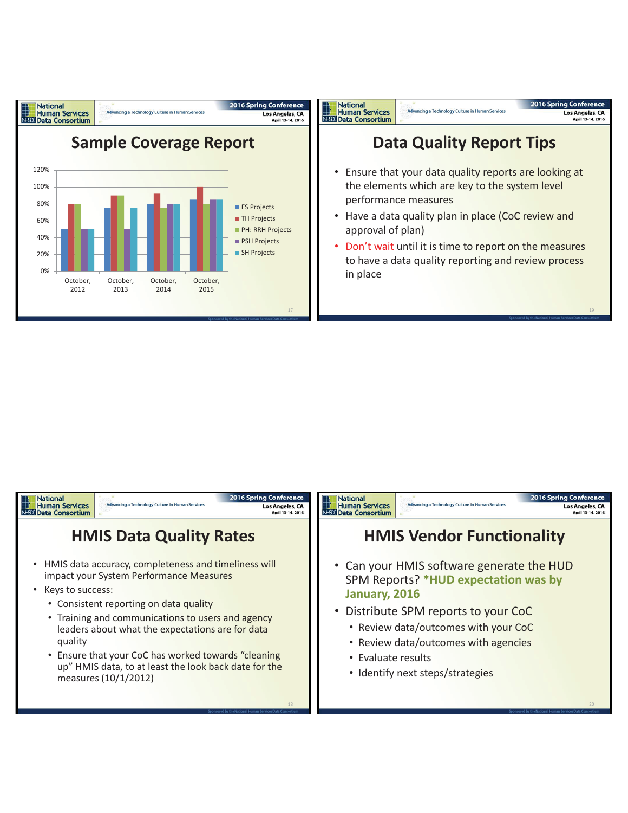

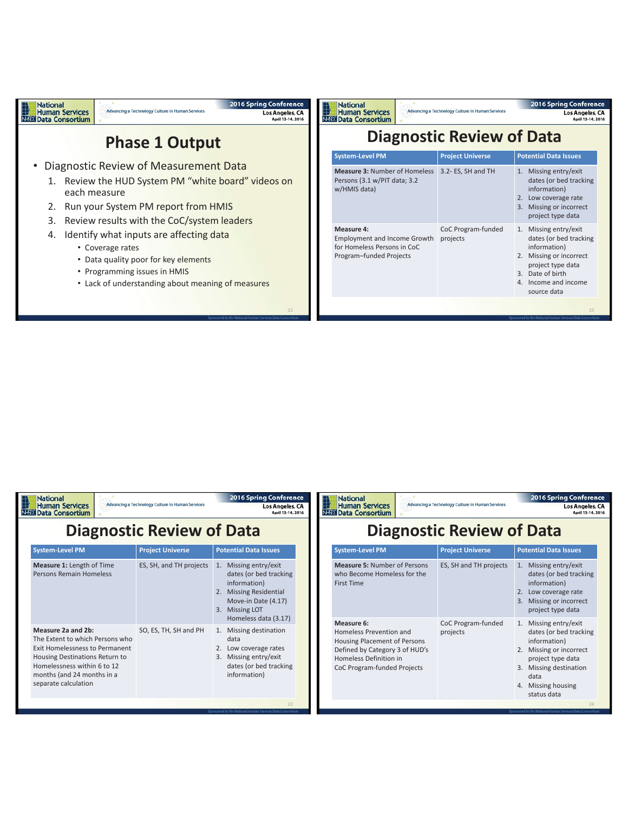

2016 Enving Conference

| nauviai<br><b>Human Services</b><br><b>HEDI Data Consortium</b>                                                                                                                                                | Advancing a Technology Culture in Human Services |                         | as to spring contenence<br>Los Angeles, CA<br>April 13-14, 2016                                                                                                                   |  |  |
|----------------------------------------------------------------------------------------------------------------------------------------------------------------------------------------------------------------|--------------------------------------------------|-------------------------|-----------------------------------------------------------------------------------------------------------------------------------------------------------------------------------|--|--|
| <b>Diagnostic Review of Data</b>                                                                                                                                                                               |                                                  |                         |                                                                                                                                                                                   |  |  |
| <b>System-Level PM</b>                                                                                                                                                                                         |                                                  | <b>Project Universe</b> | <b>Potential Data Issues</b>                                                                                                                                                      |  |  |
| <b>Measure 1: Length of Time</b><br>Persons Remain Homeless                                                                                                                                                    |                                                  | ES, SH, and TH projects | Missing entry/exit<br>1.<br>dates (or bed tracking<br>information)<br><b>Missing Residential</b><br>2.<br>Move-in Date (4.17)<br><b>Missing LOT</b><br>3.<br>Homeless data (3.17) |  |  |
| Measure 2a and 2b:<br>The Extent to which Persons who<br>Exit Homelessness to Permanent<br>Housing Destinations Return to<br>Homelessness within 6 to 12<br>months (and 24 months in a<br>separate calculation |                                                  | SO, ES, TH, SH and PH   | Missing destination<br>1.<br>data<br>2. Low coverage rates<br>Missing entry/exit<br>3.<br>dates (or bed tracking<br>information)                                                  |  |  |
|                                                                                                                                                                                                                |                                                  |                         | 22                                                                                                                                                                                |  |  |

**National** 

| <b>Diagnostic Review of Data</b><br><b>Potential Data Issues</b><br><b>System-Level PM</b><br><b>Project Universe</b><br><b>Measure 5: Number of Persons</b><br>ES, SH and TH projects<br>1. Missing entry/exit<br>dates (or bed tracking<br>who Become Homeless for the<br>information)<br><b>First Time</b><br>2. Low coverage rate<br>Missing or incorrect<br>3.<br>project type data<br>Measure 6:<br>1. Missing entry/exit<br>CoC Program-funded<br>dates (or bed tracking<br>Homeless Prevention and<br>projects<br>information)<br>Housing Placement of Persons<br>Defined by Category 3 of HUD's<br>2. Missing or incorrect<br>Homeless Definition in<br>project type data<br>3. Missing destination<br>CoC Program-funded Projects<br>data<br>4. Missing housing<br>status data | <b>National</b><br><b>Human Services</b><br><b>EDI Data Consortium</b> | Advancing a Technology Culture in Human Services |  | <b>2016 Spring Conference</b><br>Los Angeles, CA<br>April 13-14, 2016 |  |
|------------------------------------------------------------------------------------------------------------------------------------------------------------------------------------------------------------------------------------------------------------------------------------------------------------------------------------------------------------------------------------------------------------------------------------------------------------------------------------------------------------------------------------------------------------------------------------------------------------------------------------------------------------------------------------------------------------------------------------------------------------------------------------------|------------------------------------------------------------------------|--------------------------------------------------|--|-----------------------------------------------------------------------|--|
|                                                                                                                                                                                                                                                                                                                                                                                                                                                                                                                                                                                                                                                                                                                                                                                          |                                                                        |                                                  |  |                                                                       |  |
|                                                                                                                                                                                                                                                                                                                                                                                                                                                                                                                                                                                                                                                                                                                                                                                          |                                                                        |                                                  |  |                                                                       |  |
|                                                                                                                                                                                                                                                                                                                                                                                                                                                                                                                                                                                                                                                                                                                                                                                          |                                                                        |                                                  |  |                                                                       |  |
|                                                                                                                                                                                                                                                                                                                                                                                                                                                                                                                                                                                                                                                                                                                                                                                          |                                                                        |                                                  |  |                                                                       |  |

1. Missing entry/exit dates (or bed tracking information) 2. Low coverage rate 3. Missing or incorrect project type data

**2016 Spring Conference** 

Los Angeles, CA<br>April 13-14, 2016

1. Missing entry/exit dates (or bed tracking information) 2. Missing or incorrect project type data 3. Date of birth 4. Income and income source data

23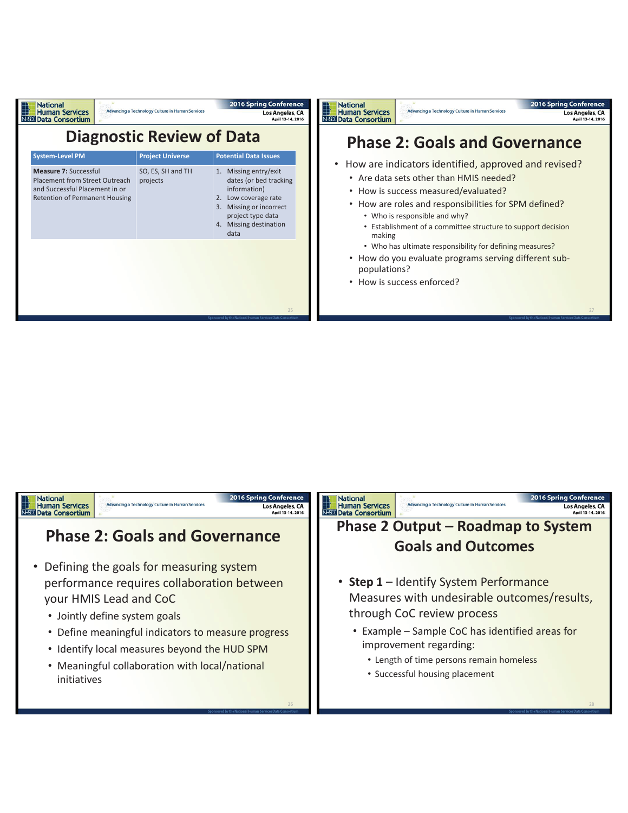| <b>National</b><br><b>Human Services</b><br><b>NEED Data Consortium</b>                                                     | Advancing a Technology Culture in Human Services | <b>2016 Spring Conference</b><br>Los Angeles, CA<br>April 13-14, 2016                                                                                                        | <b>2016 Spring Conference</b><br><b>National</b><br>Advancing a Technology Culture in Human Services<br><b>Human Services</b><br>Los Angeles, CA<br><b>NEED Data Consortium</b><br>April 13-14, 2016                                                                                                            |  |
|-----------------------------------------------------------------------------------------------------------------------------|--------------------------------------------------|------------------------------------------------------------------------------------------------------------------------------------------------------------------------------|-----------------------------------------------------------------------------------------------------------------------------------------------------------------------------------------------------------------------------------------------------------------------------------------------------------------|--|
|                                                                                                                             | <b>Diagnostic Review of Data</b>                 |                                                                                                                                                                              | <b>Phase 2: Goals and Governance</b>                                                                                                                                                                                                                                                                            |  |
| <b>System-Level PM</b>                                                                                                      | <b>Project Universe</b>                          | <b>Potential Data Issues</b>                                                                                                                                                 | How are indicators identified, approved and revised?                                                                                                                                                                                                                                                            |  |
| Measure 7: Successful<br>Placement from Street Outreach<br>and Successful Placement in or<br>Retention of Permanent Housing | SO, ES, SH and TH<br>projects                    | 1. Missing entry/exit<br>dates (or bed tracking<br>information)<br>2. Low coverage rate<br>Missing or incorrect<br>3.<br>project type data<br>4. Missing destination<br>data | • Are data sets other than HMIS needed?<br>• How is success measured/evaluated?<br>• How are roles and responsibilities for SPM defined?<br>• Who is responsible and why?<br>• Establishment of a committee structure to support decision<br>making<br>• Who has ultimate responsibility for defining measures? |  |
|                                                                                                                             |                                                  |                                                                                                                                                                              | • How do you evaluate programs serving different sub-<br>populations?<br>How is success enforced?<br>$\bullet$                                                                                                                                                                                                  |  |
|                                                                                                                             |                                                  | 25                                                                                                                                                                           | 27                                                                                                                                                                                                                                                                                                              |  |

## **National**<br> **Human Services**<br> **NED Data Consortium**

2016 Spring Conference Advancing a Technology Culture in Human Services

**Phase 2: Goals and Governance** 

- Defining the goals for measuring system performance requires collaboration between your HMIS Lead and CoC
	- Jointly define system goals
	- Define meaningful indicators to measure progress
	- Identify local measures beyond the HUD SPM
	- Meaningful collaboration with local/national initiatives

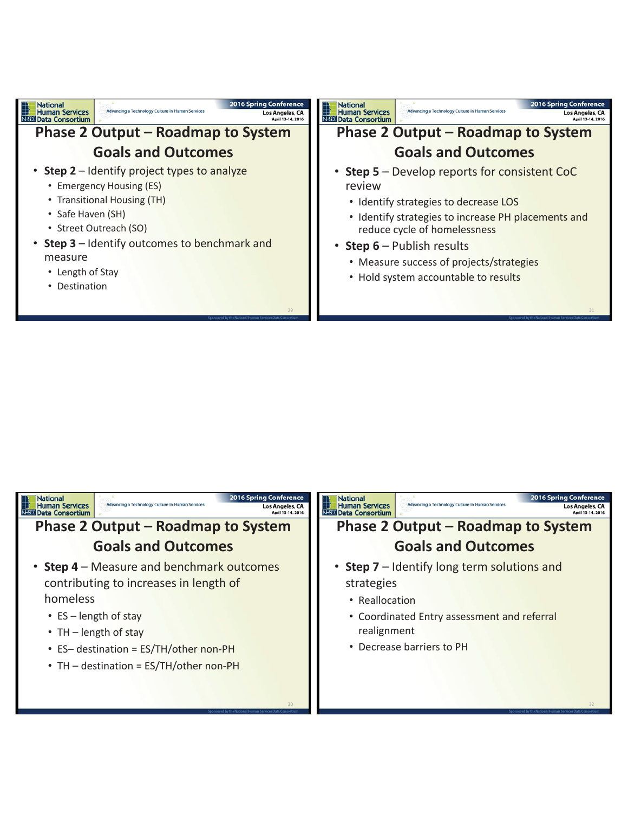

| <b>2016 Spring Conference</b><br><b>National</b><br>Advancing a Technology Culture in Human Services<br>Human Services<br>Los Angeles, CA<br><b>Data Consortium</b><br>April 13-14, 2016                                                                   | <b>2016 Spring Conference</b><br><b>National</b><br>Advancing a Technology Culture in Human Services<br><b>Human Services</b><br>Los Angeles, CA<br><b>NESDI Data Consortium</b> |
|------------------------------------------------------------------------------------------------------------------------------------------------------------------------------------------------------------------------------------------------------------|----------------------------------------------------------------------------------------------------------------------------------------------------------------------------------|
| <b>Phase 2 Output – Roadmap to System</b>                                                                                                                                                                                                                  | <b>Phase 2 Output – Roadmap to System</b>                                                                                                                                        |
| <b>Goals and Outcomes</b>                                                                                                                                                                                                                                  | <b>Goals and Outcomes</b>                                                                                                                                                        |
| • Step 4 – Measure and benchmark outcomes<br>contributing to increases in length of<br>homeless<br>• $ES - length of stay$<br>• TH $-$ length of stay<br>• ES- destination = ES/TH/other non-PH<br>• TH - destination = ES/TH/other non-PH<br>$30^{\circ}$ | • Step 7 – Identify long term solutions and<br>strategies<br>• Reallocation<br>• Coordinated Entry assessment and referral<br>realignment<br>• Decrease barriers to PH<br>32     |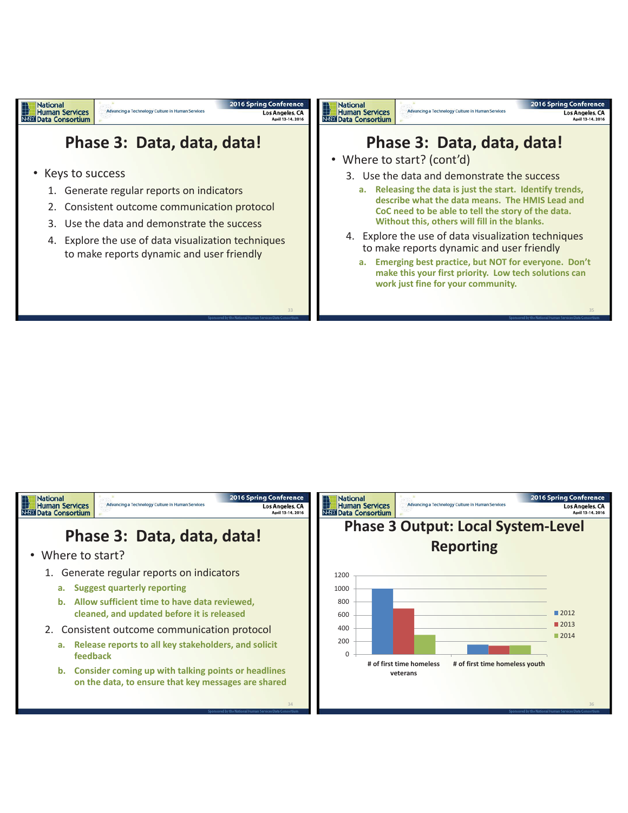